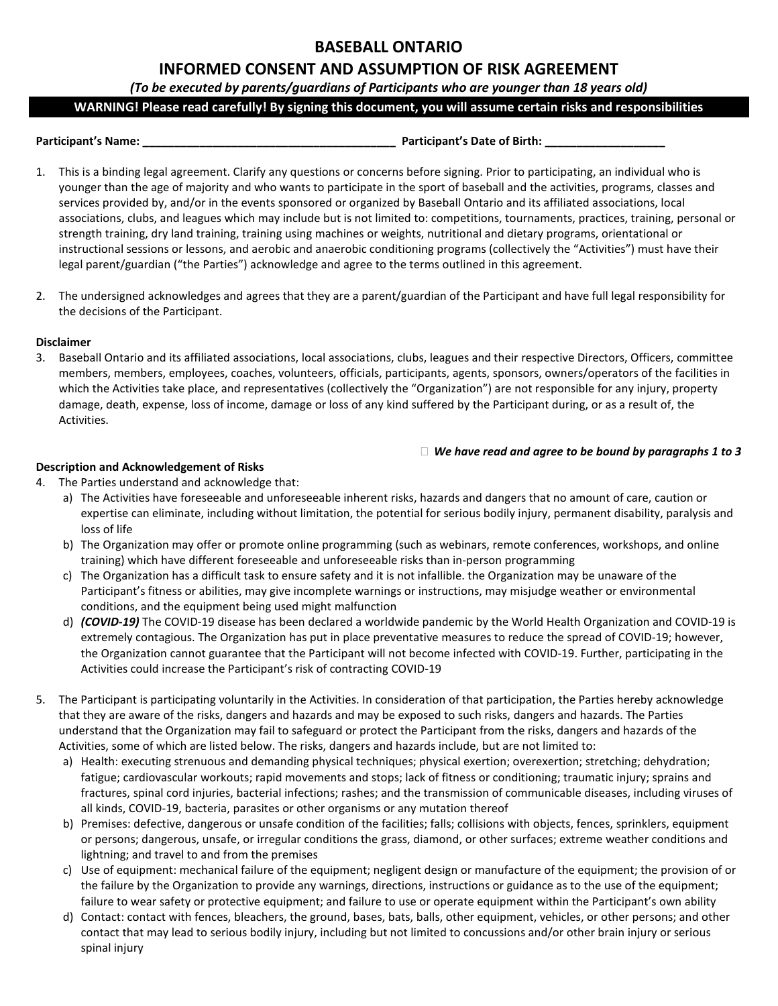# **BASEBALL ONTARIO**

# **INFORMED CONSENT AND ASSUMPTION OF RISK AGREEMENT**

*(To be executed by parents/guardians of Participants who are younger than 18 years old)*

**WARNING! Please read carefully! By signing this document, you will assume certain risks and responsibilities**

#### **Participant's Name: \_\_\_\_\_\_\_\_\_\_\_\_\_\_\_\_\_\_\_\_\_\_\_\_\_\_\_\_\_\_\_\_\_\_\_\_\_\_\_\_ Participant's Date of Birth: \_\_\_\_\_\_\_\_\_\_\_\_\_\_\_\_\_\_\_**

- 1. This is a binding legal agreement. Clarify any questions or concerns before signing. Prior to participating, an individual who is younger than the age of majority and who wants to participate in the sport of baseball and the activities, programs, classes and services provided by, and/or in the events sponsored or organized by Baseball Ontario and its affiliated associations, local associations, clubs, and leagues which may include but is not limited to: competitions, tournaments, practices, training, personal or strength training, dry land training, training using machines or weights, nutritional and dietary programs, orientational or instructional sessions or lessons, and aerobic and anaerobic conditioning programs (collectively the "Activities") must have their legal parent/guardian ("the Parties") acknowledge and agree to the terms outlined in this agreement.
- 2. The undersigned acknowledges and agrees that they are a parent/guardian of the Participant and have full legal responsibility for the decisions of the Participant.

## **Disclaimer**

3. Baseball Ontario and its affiliated associations, local associations, clubs, leagues and their respective Directors, Officers, committee members, members, employees, coaches, volunteers, officials, participants, agents, sponsors, owners/operators of the facilities in which the Activities take place, and representatives (collectively the "Organization") are not responsible for any injury, property damage, death, expense, loss of income, damage or loss of any kind suffered by the Participant during, or as a result of, the Activities.

## *We have read and agree to be bound by paragraphs 1 to 3*

## **Description and Acknowledgement of Risks**

- 4. The Parties understand and acknowledge that:
	- a) The Activities have foreseeable and unforeseeable inherent risks, hazards and dangers that no amount of care, caution or expertise can eliminate, including without limitation, the potential for serious bodily injury, permanent disability, paralysis and loss of life
	- b) The Organization may offer or promote online programming (such as webinars, remote conferences, workshops, and online training) which have different foreseeable and unforeseeable risks than in-person programming
	- c) The Organization has a difficult task to ensure safety and it is not infallible. the Organization may be unaware of the Participant's fitness or abilities, may give incomplete warnings or instructions, may misjudge weather or environmental conditions, and the equipment being used might malfunction
	- d) *(COVID-19)* The COVID-19 disease has been declared a worldwide pandemic by the World Health Organization and COVID-19 is extremely contagious. The Organization has put in place preventative measures to reduce the spread of COVID-19; however, the Organization cannot guarantee that the Participant will not become infected with COVID-19. Further, participating in the Activities could increase the Participant's risk of contracting COVID-19
- 5. The Participant is participating voluntarily in the Activities. In consideration of that participation, the Parties hereby acknowledge that they are aware of the risks, dangers and hazards and may be exposed to such risks, dangers and hazards. The Parties understand that the Organization may fail to safeguard or protect the Participant from the risks, dangers and hazards of the Activities, some of which are listed below. The risks, dangers and hazards include, but are not limited to:
	- a) Health: executing strenuous and demanding physical techniques; physical exertion; overexertion; stretching; dehydration; fatigue; cardiovascular workouts; rapid movements and stops; lack of fitness or conditioning; traumatic injury; sprains and fractures, spinal cord injuries, bacterial infections; rashes; and the transmission of communicable diseases, including viruses of all kinds, COVID-19, bacteria, parasites or other organisms or any mutation thereof
	- b) Premises: defective, dangerous or unsafe condition of the facilities; falls; collisions with objects, fences, sprinklers, equipment or persons; dangerous, unsafe, or irregular conditions the grass, diamond, or other surfaces; extreme weather conditions and lightning; and travel to and from the premises
	- c) Use of equipment: mechanical failure of the equipment; negligent design or manufacture of the equipment; the provision of or the failure by the Organization to provide any warnings, directions, instructions or guidance as to the use of the equipment; failure to wear safety or protective equipment; and failure to use or operate equipment within the Participant's own ability
	- d) Contact: contact with fences, bleachers, the ground, bases, bats, balls, other equipment, vehicles, or other persons; and other contact that may lead to serious bodily injury, including but not limited to concussions and/or other brain injury or serious spinal injury